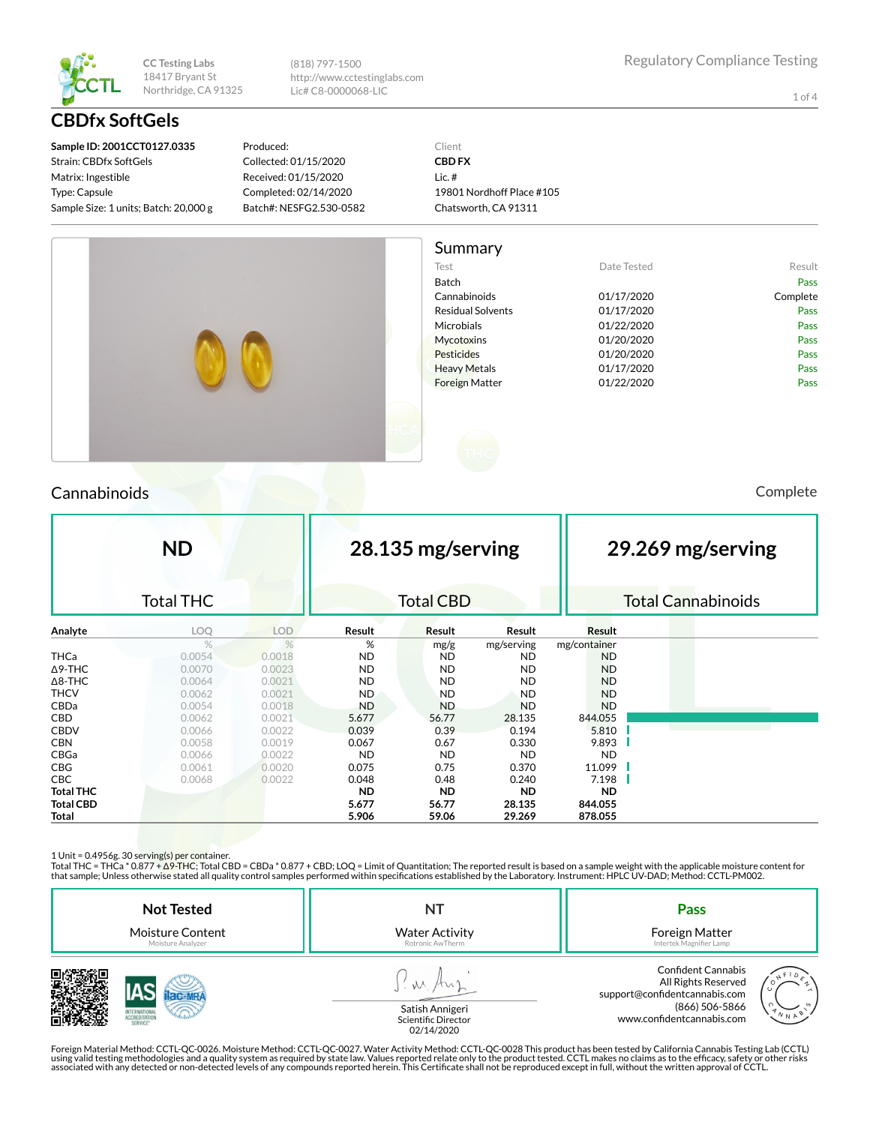

(818) 797-1500 http://www.cctestinglabs.com Lic# C8-0000068-LIC

1 of 4

**Sample ID: 2001CCT0127.0335** Strain: CBDfx SoftGels Matrix: Ingestible Type: Capsule Sample Size: 1 units; Batch: 20,000 g

**CBDfx SoftGels**

Produced: Collected: 01/15/2020 Received: 01/15/2020 Completed: 02/14/2020 Batch#: NESFG2.530-0582 Client **CBD FX** Lic. # 19801 Nordhoff Place #105 Chatsworth, CA 91311



# Cannabinoids Complete

|                  | <b>ND</b>        |            |           |                  | 28.135 mg/serving<br>29.269 mg/serving |              |  |                           |  |
|------------------|------------------|------------|-----------|------------------|----------------------------------------|--------------|--|---------------------------|--|
|                  | <b>Total THC</b> |            |           | <b>Total CBD</b> |                                        |              |  | <b>Total Cannabinoids</b> |  |
| Analyte          | LOQ              | <b>LOD</b> | Result    | Result           | Result                                 | Result       |  |                           |  |
|                  | %                | %          | %         | mg/g             | mg/serving                             | mg/container |  |                           |  |
| THCa             | 0.0054           | 0.0018     | <b>ND</b> | <b>ND</b>        | <b>ND</b>                              | ND           |  |                           |  |
| $\Delta$ 9-THC   | 0.0070           | 0.0023     | <b>ND</b> | <b>ND</b>        | <b>ND</b>                              | <b>ND</b>    |  |                           |  |
| $\Delta$ 8-THC   | 0.0064           | 0.0021     | <b>ND</b> | <b>ND</b>        | <b>ND</b>                              | <b>ND</b>    |  |                           |  |
| <b>THCV</b>      | 0.0062           | 0.0021     | <b>ND</b> | <b>ND</b>        | <b>ND</b>                              | <b>ND</b>    |  |                           |  |
| CBDa             | 0.0054           | 0.0018     | <b>ND</b> | <b>ND</b>        | <b>ND</b>                              | <b>ND</b>    |  |                           |  |
| <b>CBD</b>       | 0.0062           | 0.0021     | 5.677     | 56.77            | 28.135                                 | 844.055      |  |                           |  |
| <b>CBDV</b>      | 0.0066           | 0.0022     | 0.039     | 0.39             | 0.194                                  | 5.810        |  |                           |  |
| <b>CBN</b>       | 0.0058           | 0.0019     | 0.067     | 0.67             | 0.330                                  | 9.893        |  |                           |  |
| CBGa             | 0.0066           | 0.0022     | <b>ND</b> | <b>ND</b>        | <b>ND</b>                              | <b>ND</b>    |  |                           |  |
| <b>CBG</b>       | 0.0061           | 0.0020     | 0.075     | 0.75             | 0.370                                  | 11.099       |  |                           |  |
| <b>CBC</b>       | 0.0068           | 0.0022     | 0.048     | 0.48             | 0.240                                  | 7.198        |  |                           |  |
| <b>Total THC</b> |                  |            | <b>ND</b> | <b>ND</b>        | <b>ND</b>                              | <b>ND</b>    |  |                           |  |
| <b>Total CBD</b> |                  |            | 5.677     | 56.77            | 28.135                                 | 844.055      |  |                           |  |
| Total            |                  |            | 5.906     | 59.06            | 29.269                                 | 878.055      |  |                           |  |

1 Unit = 0.4956g. 30 serving(s) per container.

Total THC = THCa \* 0.877 + ∆9-THC; Total CBD = CBDa \* 0.877 + CBD; LOQ = Limit of Quantitation; The reported result is based on a sample weight with the applicable moisture content for that sample; Unless otherwise stated all quality control samples performed within specifications established by the Laboratory. Instrument: HPLC UV-DAD; Method: CCTL-PM002.

| <b>Not Tested</b><br><b>Moisture Content</b><br>Moisture Analyzer | <b>Water Activity</b><br>Rotronic AwTherm             | Pass<br>Foreign Matter<br>Intertek Magnifier Lamp                                                                                         |
|-------------------------------------------------------------------|-------------------------------------------------------|-------------------------------------------------------------------------------------------------------------------------------------------|
| <b>SERVICE</b>                                                    | Satish Annigeri<br>Scientific Director<br>0.011110000 | <b>Confident Cannabis</b><br>All Rights Reserved<br>support@confidentcannabis.com<br>(866) 506-5866<br>N N A<br>www.confidentcannabis.com |

02/14/2020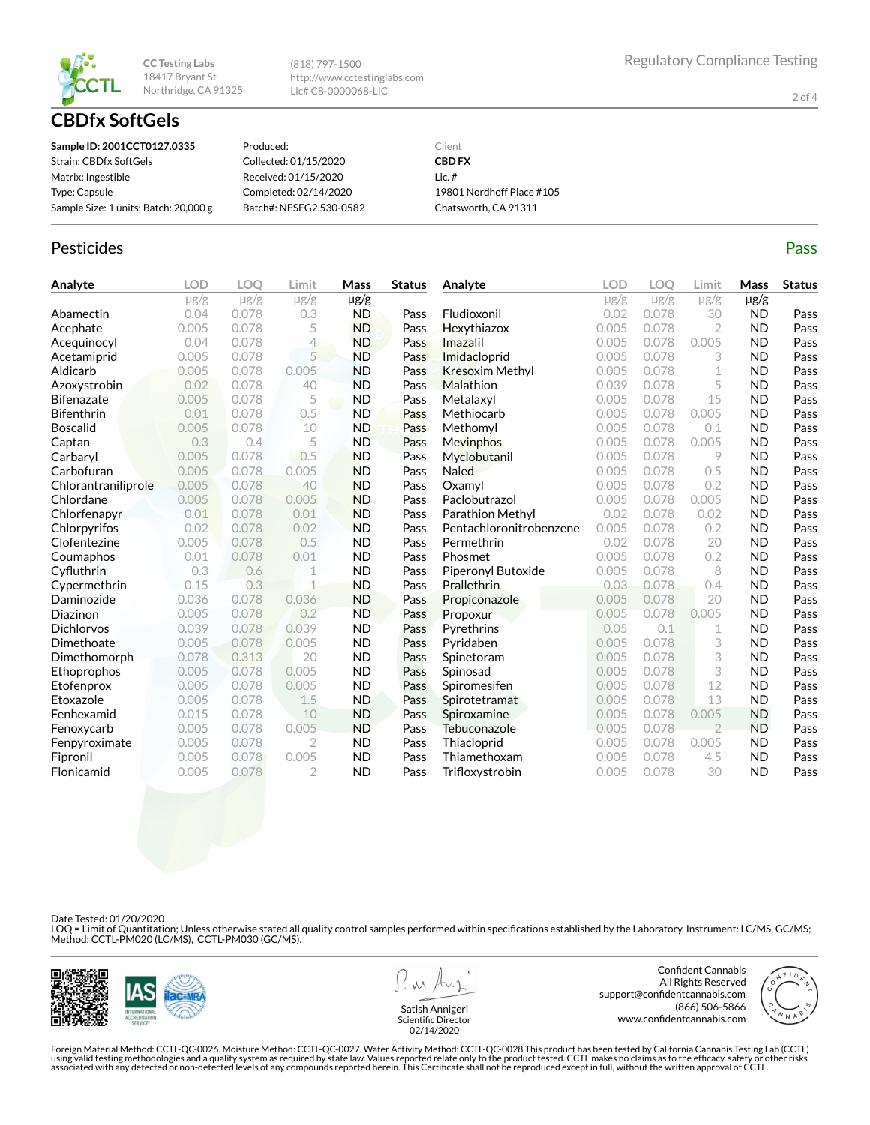

**CBDfx SoftGels**

(818) 797-1500 http://www.cctestinglabs.com Lic# C8-0000068-LIC

2 of 4

| Sample ID: 2001CCT0127.0335           | Produced:               | Client                    |
|---------------------------------------|-------------------------|---------------------------|
| Strain: CBDfx SoftGels                | Collected: 01/15/2020   | <b>CBD FX</b>             |
| Matrix: Ingestible                    | Received: 01/15/2020    | Lic. $#$                  |
| Type: Capsule                         | Completed: 02/14/2020   | 19801 Nordhoff Place #105 |
| Sample Size: 1 units; Batch: 20,000 g | Batch#: NESFG2.530-0582 | Chatsworth, CA 91311      |

### Pesticides **Passage Contract Contract Contract Contract Contract Contract Contract Contract Contract Contract Contract Contract Contract Contract Contract Contract Contract Contract Contract Contract Contract Contract Cont**

| Analyte             | <b>LOD</b> | <b>LOO</b> | Limit          | Mass      | <b>Status</b> | Analyte                 | LOD       | <b>LOO</b> | Limit          | Mass      | <b>Status</b> |
|---------------------|------------|------------|----------------|-----------|---------------|-------------------------|-----------|------------|----------------|-----------|---------------|
|                     | $\mu$ g/g  | $\mu$ g/g  | $\mu$ g/g      | $\mu$ g/g |               |                         | $\mu$ g/g | $\mu$ g/g  | $\mu$ g/g      | $\mu$ g/g |               |
| Abamectin           | 0.04       | 0.078      | 0.3            | <b>ND</b> | Pass          | Fludioxonil             | 0.02      | 0.078      | 30             | <b>ND</b> | Pass          |
| Acephate            | 0.005      | 0.078      | 5              | <b>ND</b> | Pass          | Hexythiazox             | 0.005     | 0.078      | $\overline{2}$ | <b>ND</b> | Pass          |
| Acequinocyl         | 0.04       | 0.078      | 4              | <b>ND</b> | Pass          | Imazalil                | 0.005     | 0.078      | 0.005          | <b>ND</b> | Pass          |
| Acetamiprid         | 0.005      | 0.078      | 5              | <b>ND</b> | Pass          | Imidacloprid            | 0.005     | 0.078      | 3              | <b>ND</b> | Pass          |
| Aldicarb            | 0.005      | 0.078      | 0.005          | <b>ND</b> | Pass          | <b>Kresoxim Methyl</b>  | 0.005     | 0.078      | 1              | <b>ND</b> | Pass          |
| Azoxystrobin        | 0.02       | 0.078      | 40             | <b>ND</b> | Pass          | Malathion               | 0.039     | 0.078      | 5              | <b>ND</b> | Pass          |
| <b>Bifenazate</b>   | 0.005      | 0.078      | 5              | <b>ND</b> | Pass          | Metalaxyl               | 0.005     | 0.078      | 15             | <b>ND</b> | Pass          |
| <b>Bifenthrin</b>   | 0.01       | 0.078      | 0.5            | <b>ND</b> | Pass          | Methiocarb              | 0.005     | 0.078      | 0.005          | <b>ND</b> | Pass          |
| <b>Boscalid</b>     | 0.005      | 0.078      | 10             | <b>ND</b> | Pass          | Methomyl                | 0.005     | 0.078      | 0.1            | <b>ND</b> | Pass          |
| Captan              | 0.3        | 0.4        | 5              | <b>ND</b> | Pass          | Mevinphos               | 0.005     | 0.078      | 0.005          | <b>ND</b> | Pass          |
| Carbaryl            | 0.005      | 0.078      | 0.5            | <b>ND</b> | Pass          | Myclobutanil            | 0.005     | 0.078      | 9              | <b>ND</b> | Pass          |
| Carbofuran          | 0.005      | 0.078      | 0.005          | <b>ND</b> | Pass          | Naled                   | 0.005     | 0.078      | 0.5            | <b>ND</b> | Pass          |
| Chlorantraniliprole | 0.005      | 0.078      | 40             | <b>ND</b> | Pass          | Oxamvl                  | 0.005     | 0.078      | 0.2            | <b>ND</b> | Pass          |
| Chlordane           | 0.005      | 0.078      | 0.005          | <b>ND</b> | Pass          | Paclobutrazol           | 0.005     | 0.078      | 0.005          | <b>ND</b> | Pass          |
| Chlorfenapyr        | 0.01       | 0.078      | 0.01           | <b>ND</b> | Pass          | Parathion Methyl        | 0.02      | 0.078      | 0.02           | <b>ND</b> | Pass          |
| Chlorpyrifos        | 0.02       | 0.078      | 0.02           | <b>ND</b> | Pass          | Pentachloronitrobenzene | 0.005     | 0.078      | 0.2            | <b>ND</b> | Pass          |
| Clofentezine        | 0.005      | 0.078      | 0.5            | <b>ND</b> | Pass          | Permethrin              | 0.02      | 0.078      | 20             | <b>ND</b> | Pass          |
| Coumaphos           | 0.01       | 0.078      | 0.01           | <b>ND</b> | Pass          | Phosmet                 | 0.005     | 0.078      | 0.2            | <b>ND</b> | Pass          |
| Cyfluthrin          | 0.3        | 0.6        | 1              | <b>ND</b> | Pass          | Piperonyl Butoxide      | 0.005     | 0.078      | 8              | <b>ND</b> | Pass          |
| Cypermethrin        | 0.15       | 0.3        | $\overline{1}$ | <b>ND</b> | Pass          | Prallethrin             | 0.03      | 0.078      | 0.4            | <b>ND</b> | Pass          |
| Daminozide          | 0.036      | 0.078      | 0.036          | <b>ND</b> | Pass          | Propiconazole           | 0.005     | 0.078      | 20             | <b>ND</b> | Pass          |
| Diazinon            | 0.005      | 0.078      | 0.2            | <b>ND</b> | Pass          | Propoxur                | 0.005     | 0.078      | 0.005          | <b>ND</b> | Pass          |
| <b>Dichlorvos</b>   | 0.039      | 0.078      | 0.039          | <b>ND</b> | Pass          | Pyrethrins              | 0.05      | 0.1        | 1              | <b>ND</b> | Pass          |
| Dimethoate          | 0.005      | 0.078      | 0.005          | <b>ND</b> | Pass          | Pyridaben               | 0.005     | 0.078      | 3              | <b>ND</b> | Pass          |
| Dimethomorph        | 0.078      | 0.313      | 20             | <b>ND</b> | Pass          | Spinetoram              | 0.005     | 0.078      | 3              | <b>ND</b> | Pass          |
| Ethoprophos         | 0.005      | 0.078      | 0.005          | <b>ND</b> | Pass          | Spinosad                | 0.005     | 0.078      | 3              | <b>ND</b> | Pass          |
| Etofenprox          | 0.005      | 0.078      | 0.005          | <b>ND</b> | Pass          | Spiromesifen            | 0.005     | 0.078      | 12             | <b>ND</b> | Pass          |
| Etoxazole           | 0.005      | 0.078      | 1.5            | <b>ND</b> | Pass          | Spirotetramat           | 0.005     | 0.078      | 13             | <b>ND</b> | Pass          |
| Fenhexamid          | 0.015      | 0.078      | 10             | <b>ND</b> | Pass          | Spiroxamine             | 0.005     | 0.078      | 0.005          | <b>ND</b> | Pass          |
| Fenoxycarb          | 0.005      | 0.078      | 0.005          | <b>ND</b> | Pass          | Tebuconazole            | 0.005     | 0.078      | $\overline{2}$ | <b>ND</b> | Pass          |
| Fenpyroximate       | 0.005      | 0.078      | $\overline{2}$ | <b>ND</b> | Pass          | Thiacloprid             | 0.005     | 0.078      | 0.005          | <b>ND</b> | Pass          |
| Fipronil            | 0.005      | 0.078      | 0.005          | <b>ND</b> | Pass          | Thiamethoxam            | 0.005     | 0.078      | 4.5            | <b>ND</b> | Pass          |
| Flonicamid          | 0.005      | 0.078      | $\overline{2}$ | <b>ND</b> | Pass          | Trifloxystrobin         | 0.005     | 0.078      | 30             | <b>ND</b> | Pass          |

Date Tested: 01/20/2020

LOQ = Limit of Quantitation; Unless otherwise stated all quality control samples performed within specifications established by the Laboratory. Instrument: LC/MS, GC/MS;<br>Method: CCTL-PM020 (LC/MS), CCTL-PM030 (GC/MS).



**W** 

Confident Cannabis All Rights Reserved support@confidentcannabis.com (866) 506-5866 www.confidentcannabis.com



Satish Annigeri Scientific Director 02/14/2020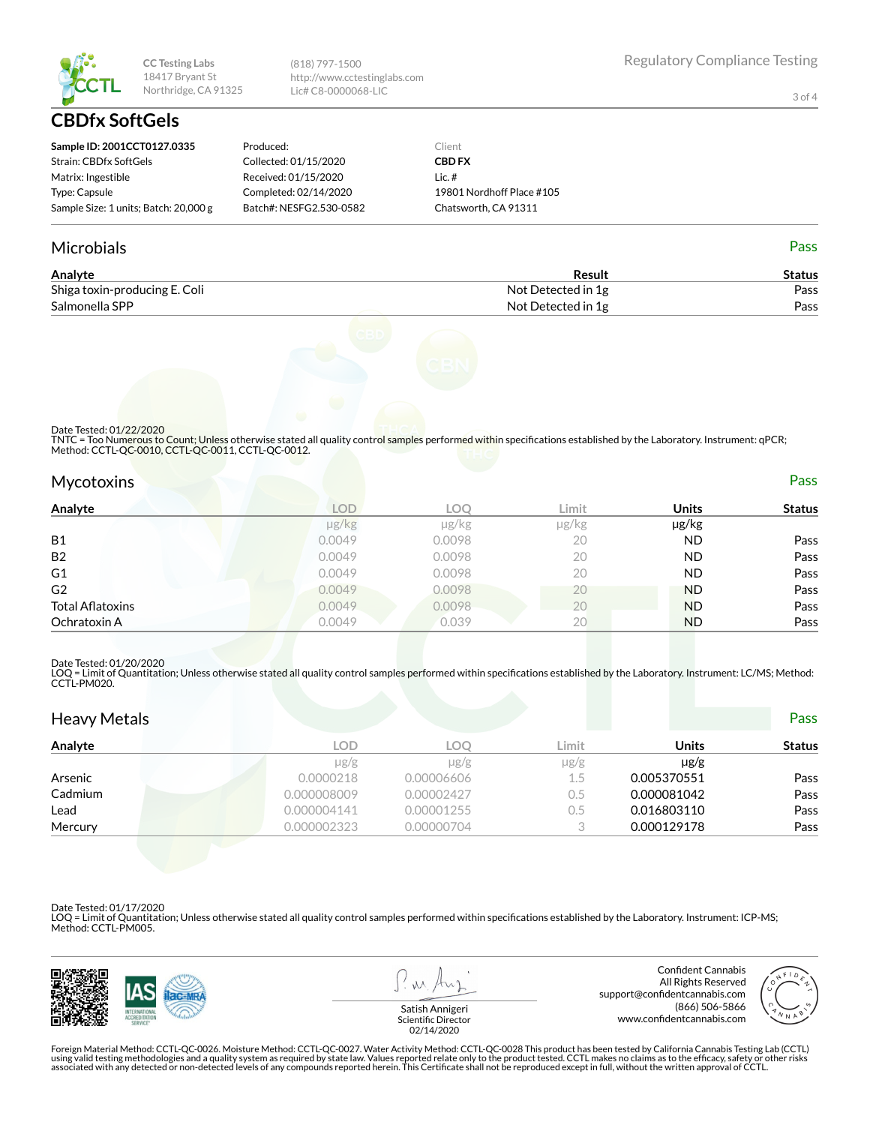

(818) 797-1500 http://www.cctestinglabs.com Lic# C8-0000068-LIC

3 of 4

# **CBDfx SoftGels**

| Sample ID: 2001CCT0127.0335           | Produced:               | Client                    |
|---------------------------------------|-------------------------|---------------------------|
| Strain: CBDfx SoftGels                | Collected: 01/15/2020   | <b>CBD FX</b>             |
| Matrix: Ingestible                    | Received: 01/15/2020    | $l$ ic. #                 |
| Type: Capsule                         | Completed: 02/14/2020   | 19801 Nordhoff Place #105 |
| Sample Size: 1 units; Batch: 20,000 g | Batch#: NESFG2.530-0582 | Chatsworth, CA 91311      |

#### Microbials Pass

| Analyte                       | Result             | Status |
|-------------------------------|--------------------|--------|
| Shiga toxin-producing E. Coli | Not Detected in 1g | Pass   |
| Salmonella SPP                | Not Detected in 1g | Pass   |



Date Tested: 01/22/2020

TNTC = Too Numerous to Count; Unless otherwise stated all quality control samples performed within specifications established by the Laboratory. Instrument: qPCR; Method: CCTL-QC-0010, CCTL-QC-0011, CCTL-QC-0012.

| <b>Mycotoxins</b> | Pass |
|-------------------|------|
|                   |      |

| Analyte                 | <b>LOD</b> | <b>LOO</b> | Limit | <b>Units</b> | <b>Status</b> |
|-------------------------|------------|------------|-------|--------------|---------------|
|                         | µg/kg      | $\mu$ g/kg | µg/kg | µg/kg        |               |
| B1                      | 0.0049     | 0.0098     | 20    | <b>ND</b>    | Pass          |
| B <sub>2</sub>          | 0.0049     | 0.0098     | 20    | <b>ND</b>    | Pass          |
| G <sub>1</sub>          | 0.0049     | 0.0098     | 20    | <b>ND</b>    | Pass          |
| G <sub>2</sub>          | 0.0049     | 0.0098     | 20    | <b>ND</b>    | Pass          |
| <b>Total Aflatoxins</b> | 0.0049     | 0.0098     | 20    | <b>ND</b>    | Pass          |
| Ochratoxin A            | 0.0049     | 0.039      | 20    | <b>ND</b>    | Pass          |
|                         |            |            |       |              |               |

#### Date Tested: 01/20/2020

LOQ = Limit of Quantitation; Unless otherwise stated all quality control samples performed within specifications established by the Laboratory. Instrument: LC/MS; Method:<br>CCTL-PM020.

| <b>Heavy Metals</b> |             |            |           |              | <b>Pass</b>   |
|---------------------|-------------|------------|-----------|--------------|---------------|
| Analyte             | <b>LOD</b>  | LOO        | Limit     | <b>Units</b> | <b>Status</b> |
|                     | $\mu$ g/g   | $\mu$ g/g  | $\mu$ g/g | $\mu$ g/g    |               |
| Arsenic             | 0.0000218   | 0.00006606 | 1.5       | 0.005370551  | Pass          |
| Cadmium             | 0.000008009 | 0.00002427 | 0.5       | 0.000081042  | Pass          |
| Lead                | 0.000004141 | 0.00001255 | $0.5\,$   | 0.016803110  | Pass          |
| Mercury             | 0.000002323 | 0.00000704 |           | 0.000129178  | Pass          |

Date Tested: 01/17/2020

LOQ = Limit of Quantitation; Unless otherwise stated all quality control samples performed within specifications established by the Laboratory. Instrument: ICP-MS; Method: CCTL-PM005.



 $\lambda$ 

Confident Cannabis All Rights Reserved support@confidentcannabis.com (866) 506-5866 www.confidentcannabis.com



Satish Annigeri Scientific Director 02/14/2020